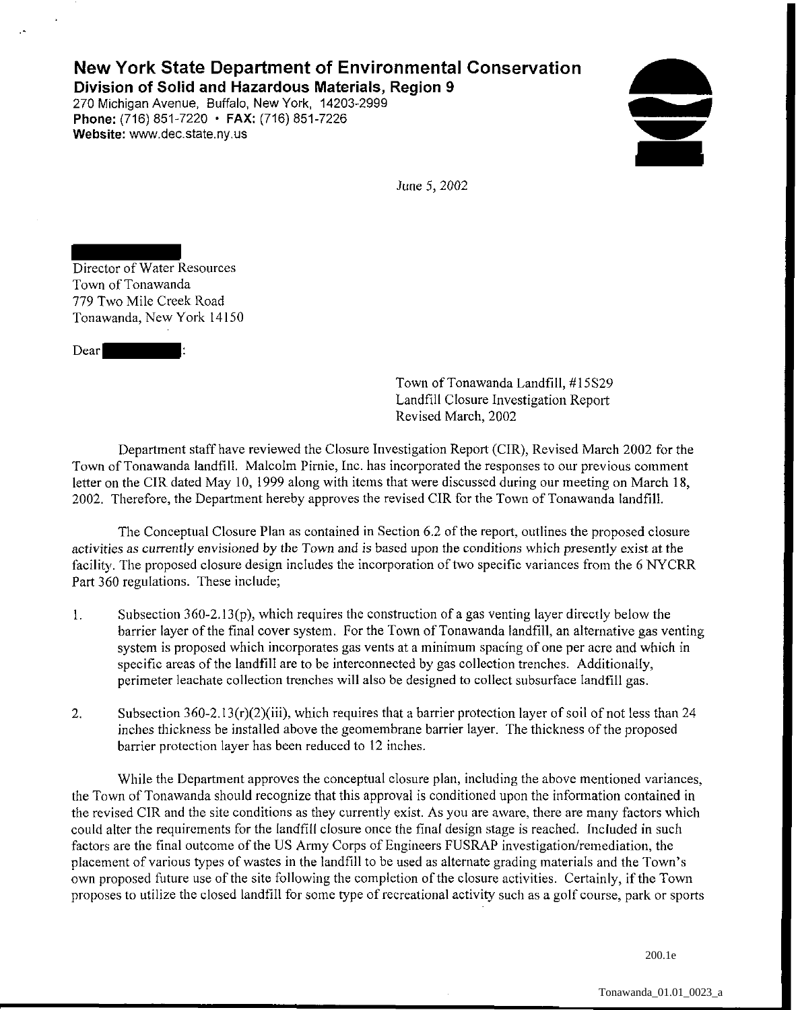## **New York State Department of Environmental Conservation Division of Solid and Hazardous Materials, Region 9**

270 Michigan Avenue, Buffalo, New York, 14203-2999 **Phone:** (716) 851-7220 • **FAX:** (716) 851-7226 **Website:** www.dec.state.ny.us

 $\bullet$ ~

June 5, *2002* 

Director of Water Resources Town of Tonawanda 779 Two Mile Creek Road Tonawanda, New York 14150

Dear

Town of Tonawanda Landfill, #l5S29 Landfill Closure Investigation Report Revised March, 2002

Department staff have reviewed the Closure Investigation Report (CIR), Revised March 2002 for the Town of Tonawanda landfill. Malcolm Pimie, Inc. has incorporated the responses to our previous comment letter on the CIR dated May 10, 1999 along with items that were discussed during our meeting on March 18, 2002. Therefore, the Department hereby approves the revised CIR for the Town of Tonawanda landfill.

The Conceptual Closure Plan as contained in Section 6.2 of the report, outlines the proposed closure activities as currently envisioned by the Town and is based upon the conditions which presently exist at the facility. The proposed closure design includes the incorporation of two specific variances from the 6 NYCRR Part 360 regulations. These include;

- l. Subsection  $360-2.13(p)$ , which requires the construction of a gas venting layer directly below the barrier layer of the final cover system. For the Town of Tonawanda landfill, an alternative gas venting system is proposed which incorporates gas vents at a minimum spacing of one per acre and which in specific areas of the landfill are to be interconnected by gas collection trenches. Additionally, perimeter leachate collection trenches will also be designed to collect subsurface landfill gas.
- 2. Subsection 360-2.13(r)(2)(iii), which requires that a barrier protection layer of soil of not less than 24 inches thickness be installed above the geomembrane barrier layer. The thickness of the proposed barrier protection layer has been reduced to 12 inches.

While the Department approves the conceptual closure plan, including the above mentioned variances, the Town of Tonawanda should recognize that this approval is conditioned upon the information contained in the revised CIR and the site conditions as they currently exist. As you are aware, there are many factors which could alter the requirements for the landfill closure once the final design stage is reached. Included in such factors are the final outcome of the US Army Corps of Engineers FUSRAP investigation/remediation, the placement of various types of wastes in the landfill to be used as alternate grading materials and the Town's own proposed future use of the site following the completion of the closure activities. Certainly, if the Town proposes to utilize the closed landfill for some type of recreational activity such as a golf course, park or sports